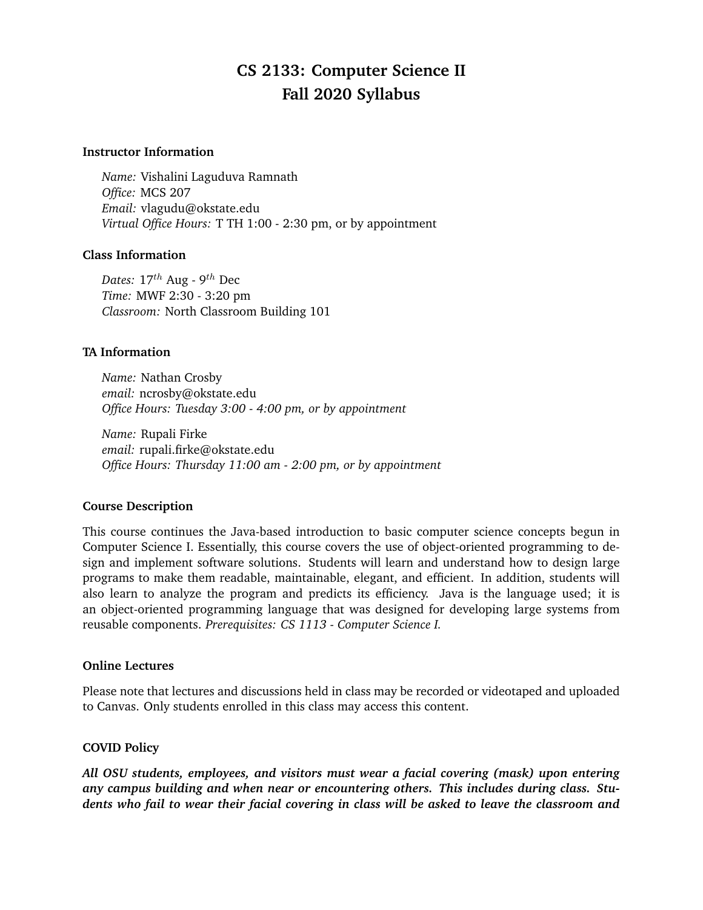# **CS 2133: Computer Science II Fall 2020 Syllabus**

#### **Instructor Information**

*Name:* Vishalini Laguduva Ramnath *Office:* MCS 207 *Email:* vlagudu@okstate.edu *Virtual Office Hours:* T TH 1:00 - 2:30 pm, or by appointment

## **Class Information**

*Dates:* 17th Aug - 9th Dec *Time:* MWF 2:30 - 3:20 pm *Classroom:* North Classroom Building 101

## **TA Information**

*Name:* Nathan Crosby *email:* ncrosby@okstate.edu *Office Hours: Tuesday 3:00 - 4:00 pm, or by appointment*

*Name:* Rupali Firke *email:* rupali.firke@okstate.edu *Office Hours: Thursday 11:00 am - 2:00 pm, or by appointment*

## **Course Description**

This course continues the Java-based introduction to basic computer science concepts begun in Computer Science I. Essentially, this course covers the use of object-oriented programming to design and implement software solutions. Students will learn and understand how to design large programs to make them readable, maintainable, elegant, and efficient. In addition, students will also learn to analyze the program and predicts its efficiency. Java is the language used; it is an object-oriented programming language that was designed for developing large systems from reusable components. *Prerequisites: CS 1113 - Computer Science I.*

## **Online Lectures**

Please note that lectures and discussions held in class may be recorded or videotaped and uploaded to Canvas. Only students enrolled in this class may access this content.

## **COVID Policy**

*All OSU students, employees, and visitors must wear a facial covering (mask) upon entering any campus building and when near or encountering others. This includes during class. Students who fail to wear their facial covering in class will be asked to leave the classroom and*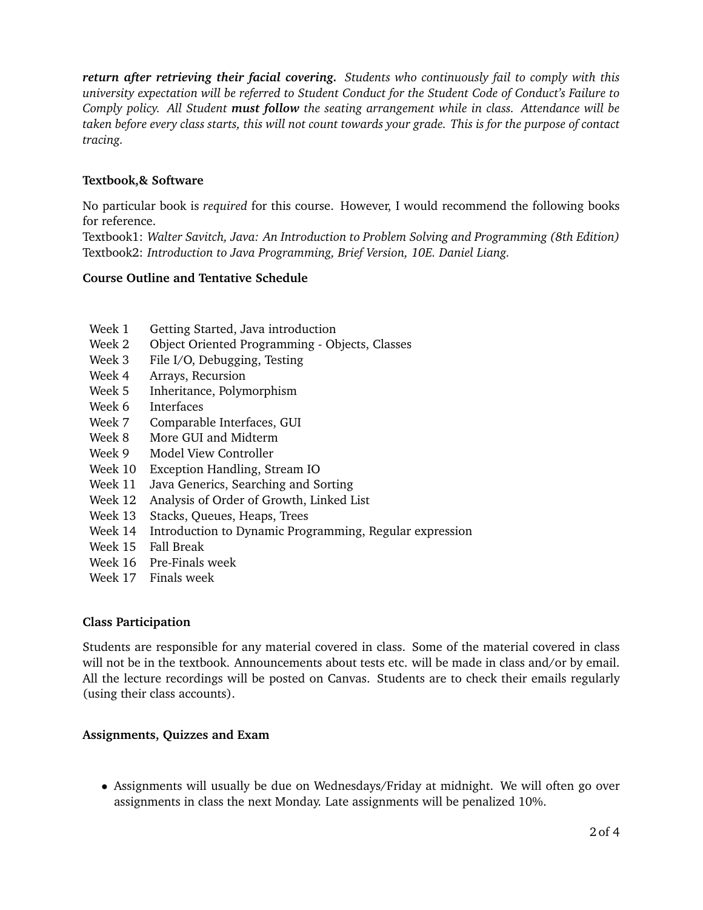*return after retrieving their facial covering. Students who continuously fail to comply with this university expectation will be referred to Student Conduct for the Student Code of Conduct's Failure to Comply policy. All Student must follow the seating arrangement while in class. Attendance will be taken before every class starts, this will not count towards your grade. This is for the purpose of contact tracing.*

## **Textbook,& Software**

No particular book is *required* for this course. However, I would recommend the following books for reference.

Textbook1: *Walter Savitch, Java: An Introduction to Problem Solving and Programming (8th Edition)* Textbook2: *Introduction to Java Programming, Brief Version, 10E. Daniel Liang.*

## **Course Outline and Tentative Schedule**

- Week 1 Getting Started, Java introduction
- Week 2 Object Oriented Programming Objects, Classes
- Week 3 File I/O, Debugging, Testing
- Week 4 Arrays, Recursion
- Week 5 Inheritance, Polymorphism
- Week 6 Interfaces
- Week 7 Comparable Interfaces, GUI
- Week 8 More GUI and Midterm
- Week 9 Model View Controller
- Week 10 Exception Handling, Stream IO
- Week 11 Java Generics, Searching and Sorting
- Week 12 Analysis of Order of Growth, Linked List
- Week 13 Stacks, Queues, Heaps, Trees
- Week 14 Introduction to Dynamic Programming, Regular expression
- Week 15 Fall Break
- Week 16 Pre-Finals week
- Week 17 Finals week

## **Class Participation**

Students are responsible for any material covered in class. Some of the material covered in class will not be in the textbook. Announcements about tests etc. will be made in class and/or by email. All the lecture recordings will be posted on Canvas. Students are to check their emails regularly (using their class accounts).

## **Assignments, Quizzes and Exam**

• Assignments will usually be due on Wednesdays/Friday at midnight. We will often go over assignments in class the next Monday. Late assignments will be penalized 10%.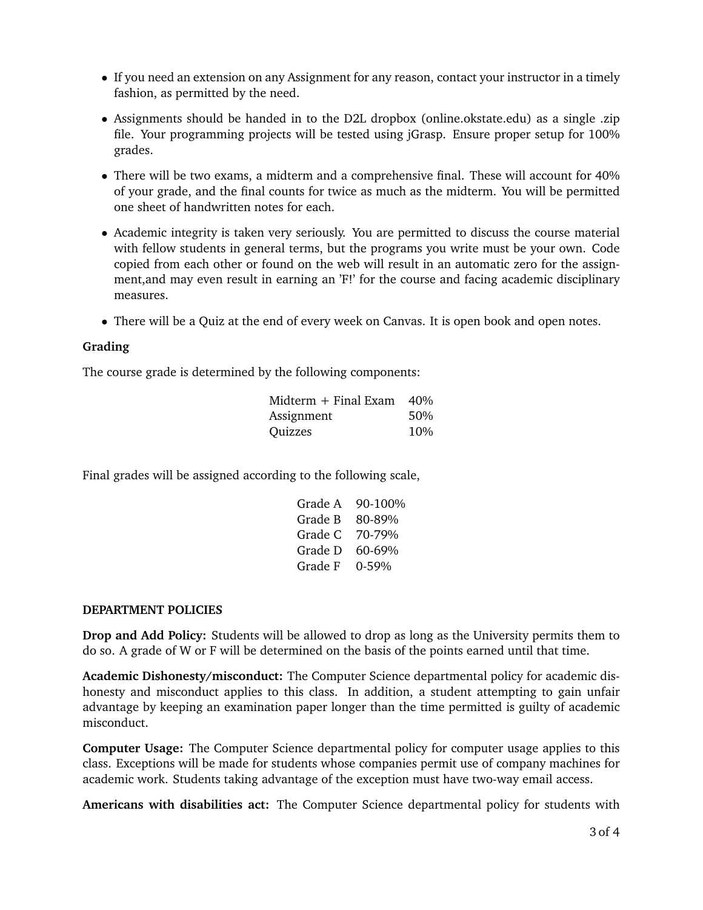- If you need an extension on any Assignment for any reason, contact your instructor in a timely fashion, as permitted by the need.
- Assignments should be handed in to the D2L dropbox (online.okstate.edu) as a single .zip file. Your programming projects will be tested using jGrasp. Ensure proper setup for 100% grades.
- There will be two exams, a midterm and a comprehensive final. These will account for 40% of your grade, and the final counts for twice as much as the midterm. You will be permitted one sheet of handwritten notes for each.
- Academic integrity is taken very seriously. You are permitted to discuss the course material with fellow students in general terms, but the programs you write must be your own. Code copied from each other or found on the web will result in an automatic zero for the assignment,and may even result in earning an 'F!' for the course and facing academic disciplinary measures.
- There will be a Quiz at the end of every week on Canvas. It is open book and open notes.

## **Grading**

The course grade is determined by the following components:

| Midterm $+$ Final Exam $-40\%$ |     |
|--------------------------------|-----|
| Assignment                     | 50% |
| Quizzes                        | 10% |

Final grades will be assigned according to the following scale,

| Grade A | 90-100% |
|---------|---------|
| Grade B | 80-89%  |
| Grade C | 70-79%  |
| Grade D | 60-69%  |
| Grade F | 0-59%   |

## **DEPARTMENT POLICIES**

**Drop and Add Policy:** Students will be allowed to drop as long as the University permits them to do so. A grade of W or F will be determined on the basis of the points earned until that time.

**Academic Dishonesty/misconduct:** The Computer Science departmental policy for academic dishonesty and misconduct applies to this class. In addition, a student attempting to gain unfair advantage by keeping an examination paper longer than the time permitted is guilty of academic misconduct.

**Computer Usage:** The Computer Science departmental policy for computer usage applies to this class. Exceptions will be made for students whose companies permit use of company machines for academic work. Students taking advantage of the exception must have two-way email access.

**Americans with disabilities act:** The Computer Science departmental policy for students with